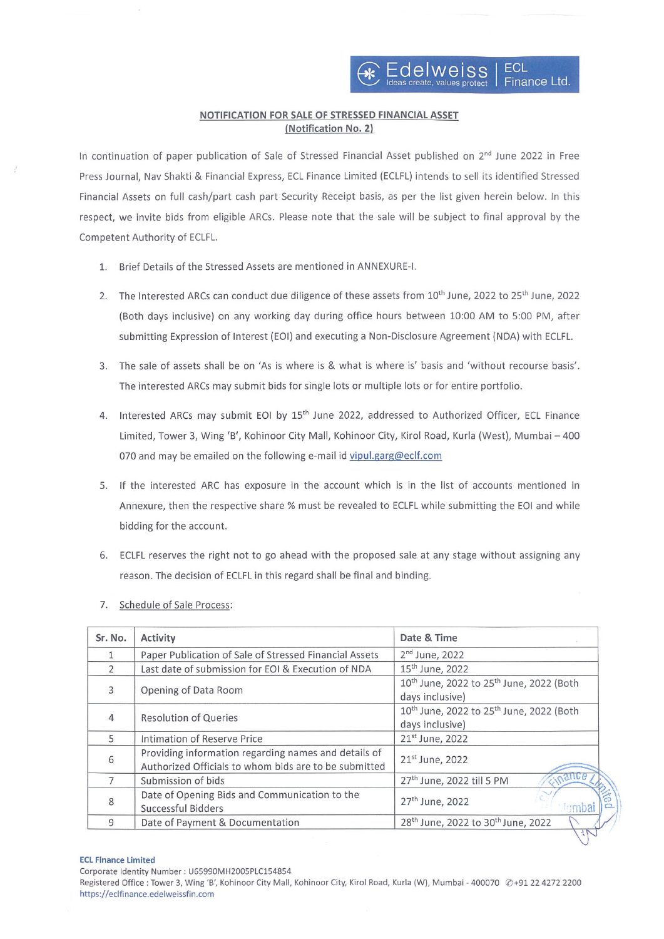# NOTIFICATION FOR SALE OF STRESSED FINANCIAL ASSET (Notification No. 2)

In continuation of paper publication of Sale of Stressed Financial Asset published on 2<sup>nd</sup> June 2022 in Free Press Journal, Nay Shakti & Financial Express, ECL Finance Limited (ECLFL) intends to sell its identified Stressed Financial Assets on full cash/part cash part Security Receipt basis, as per the list given herein below. In this respect, we invite bids from eligible ARCs. Please note that the sale will be subject to final approval by the Competent Authority of ECLFL.

- 1. Brief Details of the Stressed Assets are mentioned in ANNEXURE-l.
- 2. The Interested ARCs can conduct due diligence of these assets from 10<sup>th</sup> June, 2022 to 25<sup>th</sup> June, 2022 (Both days inclusive) on any working day during office hours between 10:00 AM to 5:00 PM, after submitting Expression of Interest (EOI) and executing a Non-Disclosure Agreement (NDA) with ECLFL.
- 3. The sale of assets shall be on 'As is where is & what is where is' basis and 'without recourse basis'. The interested ARCs may submit bids for single lots or multiple lots or for entire portfolio.
- 4. Interested ARCs may submit EOI by 15<sup>th</sup> June 2022, addressed to Authorized Officer, ECL Finance Limited, Tower 3, Wing 'B', Kohinoor City Mall, Kohinoor City, Kirol Road, Kurla (West), Mumbai —400 070 and may be emailed on the following e-mail id vipul.garg@eclf.com
- 5. If the interested ARC has exposure in the account which is in the list of accounts mentioned in Annexure, then the respective share % must be revealed to ECLFL while submitting the EOl and while bidding for the account.
- 6. ECLFL reserves the right not to go ahead with the proposed sale at any stage without assigning any reason. The decision of ECLFL in this regard shall be final and binding.
- 7. Schedule of Sale Process:

| Sr. No.        | Activity                                                                                                      | Date & Time                                                                            |
|----------------|---------------------------------------------------------------------------------------------------------------|----------------------------------------------------------------------------------------|
| 1              | Paper Publication of Sale of Stressed Financial Assets                                                        | $2nd$ June, 2022                                                                       |
| $\overline{2}$ | Last date of submission for EOI & Execution of NDA                                                            | 15 <sup>th</sup> June, 2022                                                            |
| 3              | Opening of Data Room                                                                                          | 10 <sup>th</sup> June, 2022 to 25 <sup>th</sup> June, 2022 (Both                       |
|                |                                                                                                               | days inclusive)                                                                        |
| 4              | <b>Resolution of Queries</b>                                                                                  | 10 <sup>th</sup> June, 2022 to 25 <sup>th</sup> June, 2022 (Both                       |
|                |                                                                                                               | days inclusive)                                                                        |
| 5              | Intimation of Reserve Price                                                                                   | 21st June, 2022                                                                        |
| 6              | Providing information regarding names and details of<br>Authorized Officials to whom bids are to be submitted | 21 <sup>st</sup> June, 2022                                                            |
|                | Submission of bids                                                                                            | 0.21168<br>27 <sup>th</sup> June, 2022 till 5 PM                                       |
| 8              | Date of Opening Bids and Communication to the                                                                 |                                                                                        |
|                | <b>Successful Bidders</b>                                                                                     | 27 <sup>th</sup> June, 2022                                                            |
| 9              | Date of Payment & Documentation                                                                               | 28 <sup>th</sup> June, 2022 to 30 <sup>th</sup> June, 2022<br>$\overline{\phantom{a}}$ |

### ECL Finance Limited

corporate Identity Number: 065990MH2005P1C154854

Registered Office : Tower 3, Wing 'B', Kohinoor City Mall, Kohinoor City, Kirol Road, Kurla (W), Mumbai - 400070 @+91 22 4272 2200 https://eclfinance.edelweissfin.com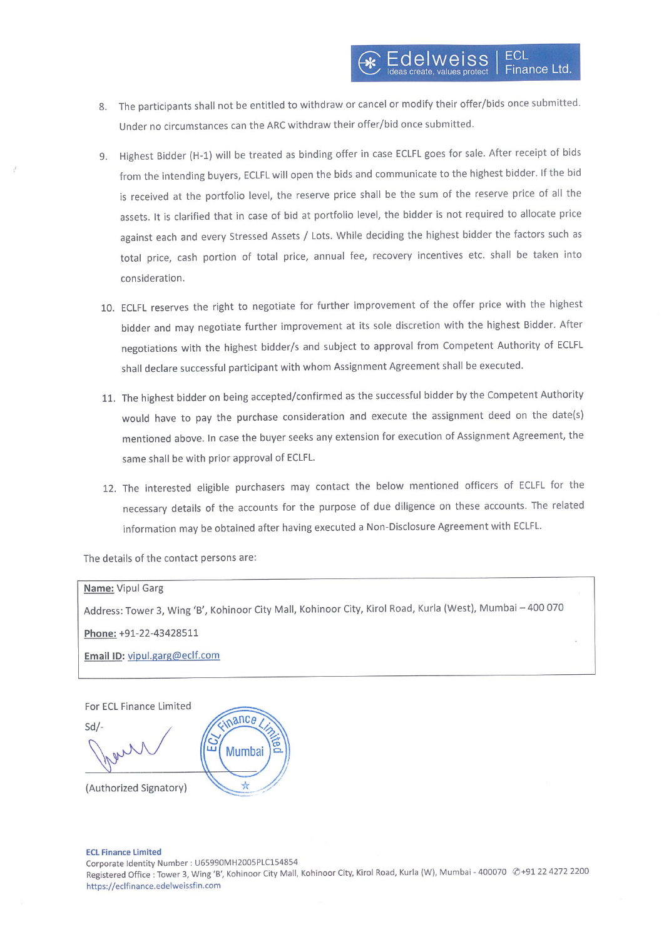- 8. The participants shall not be entitled to withdraw or cancel or modify their offer/bids once submitted. Under no circumstances can the ARC withdraw their offer/bid once submitted.
- 9. Highest Bidder (H-1) will be treated as binding offer in case ECLFL goes for sale. After receipt of bids from the intending buyers, ECLFL will open the bids and communicate to the highest bidder. If the bid is received at the portfolio level, the reserve price shall be the sum of the reserve price of all the assets. It is clarified that in case of bid at portfolio level, the bidder is not required to allocate price against each and every Stressed Assets / Lots. While deciding the highest bidder the factors such as total price, cash portion of total price, annual fee, recovery incentives etc. shall be taken into consideration.
- 10. ECLFL reserves the right to negotiate for further improvement of the offer price with the highest bidder and may negotiate further improvement at its sole discretion with the highest Bidder. After negotiations with the highest bidder/s and subject to approval from Competent Authority of ECLFL shall declare successful participant with whom Assignment Agreement shall be executed.
- 11. The highest bidder on being accepted/confirmed as the successful bidder by the Competent Authority would have to pay the purchase consideration and execute the assignment deed on the date(s) mentioned above. In case the buyer seeks any extension for execution of Assignment Agreement, the same shall be with prior approval of ECLFL.
- 12. The interested eligible purchasers may contact the below mentioned officers of ECLFL for the necessary details of the accounts for the purpose of due diligence on these accounts. The related information may be obtained after having executed <sup>a</sup> Non-Disclosure Agreement with ECLFL.

The details of the contact persons are:

## Name: Vipul Garg

Address: Tower 3, Wing 'B', Kohinoor City Mall, Kohinoor City, Kirol Road, Kurla (West), Mumbai —400070

Phone: +91-22-43428511

Email ID: vipul.garg@eclf.com

For ECL Finance Limited

nance  $Sd$ . **Mumbai** (Authorized Signatory)

#### ECL Finance limited

corporate Identity Number: U65990MH200SPLc154854 Registered Office : Tower 3, Wing 'B', Kohinoor City Mall, Kohinoor City, Kirol Road, Kurla (W), Mumbai - 400070 @+91 22 4272 2200 https://eclfinance.edelweissfin.com